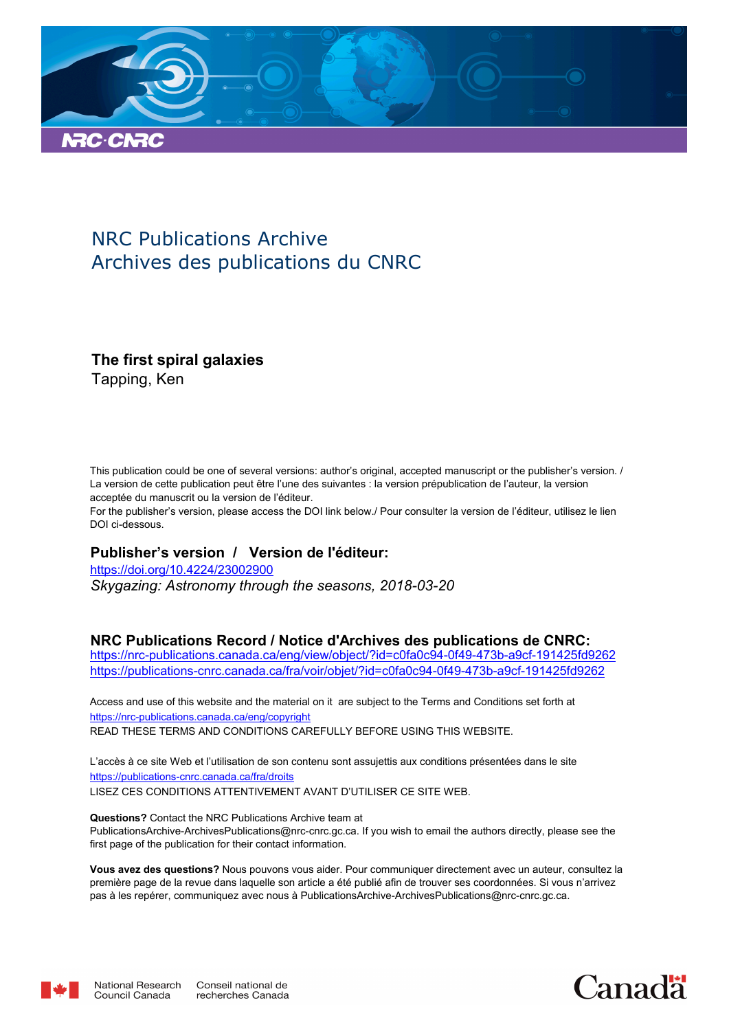

## NRC Publications Archive Archives des publications du CNRC

## **The first spiral galaxies**

Tapping, Ken

This publication could be one of several versions: author's original, accepted manuscript or the publisher's version. / La version de cette publication peut être l'une des suivantes : la version prépublication de l'auteur, la version acceptée du manuscrit ou la version de l'éditeur.

For the publisher's version, please access the DOI link below./ Pour consulter la version de l'éditeur, utilisez le lien DOI ci-dessous.

#### **Publisher's version / Version de l'éditeur:**

*Skygazing: Astronomy through the seasons, 2018-03-20* https://doi.org/10.4224/23002900

#### **NRC Publications Record / Notice d'Archives des publications de CNRC:**

https://nrc-publications.canada.ca/eng/view/object/?id=c0fa0c94-0f49-473b-a9cf-191425fd9262 https://publications-cnrc.canada.ca/fra/voir/objet/?id=c0fa0c94-0f49-473b-a9cf-191425fd9262

READ THESE TERMS AND CONDITIONS CAREFULLY BEFORE USING THIS WEBSITE. https://nrc-publications.canada.ca/eng/copyright Access and use of this website and the material on it are subject to the Terms and Conditions set forth at

https://publications-cnrc.canada.ca/fra/droits L'accès à ce site Web et l'utilisation de son contenu sont assujettis aux conditions présentées dans le site LISEZ CES CONDITIONS ATTENTIVEMENT AVANT D'UTILISER CE SITE WEB.

**Questions?** Contact the NRC Publications Archive team at PublicationsArchive-ArchivesPublications@nrc-cnrc.gc.ca. If you wish to email the authors directly, please see the first page of the publication for their contact information.

**Vous avez des questions?** Nous pouvons vous aider. Pour communiquer directement avec un auteur, consultez la première page de la revue dans laquelle son article a été publié afin de trouver ses coordonnées. Si vous n'arrivez pas à les repérer, communiquez avec nous à PublicationsArchive-ArchivesPublications@nrc-cnrc.gc.ca.